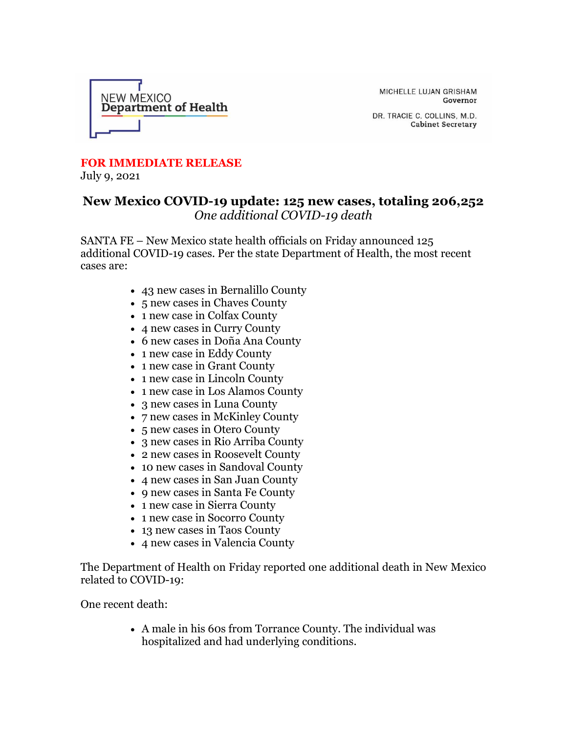

MICHELLE LUJAN GRISHAM Governor

DR. TRACIE C. COLLINS, M.D. **Cabinet Secretary** 

## **FOR IMMEDIATE RELEASE**

July 9, 2021

## **New Mexico COVID-19 update: 125 new cases, totaling 206,252** *One additional COVID-19 death*

SANTA FE – New Mexico state health officials on Friday announced 125 additional COVID-19 cases. Per the state Department of Health, the most recent cases are:

- 43 new cases in Bernalillo County
- 5 new cases in Chaves County
- 1 new case in Colfax County
- 4 new cases in Curry County
- 6 new cases in Doña Ana County
- 1 new case in Eddy County
- 1 new case in Grant County
- 1 new case in Lincoln County
- 1 new case in Los Alamos County
- 3 new cases in Luna County
- 7 new cases in McKinley County
- 5 new cases in Otero County
- 3 new cases in Rio Arriba County
- 2 new cases in Roosevelt County
- 10 new cases in Sandoval County
- 4 new cases in San Juan County
- 9 new cases in Santa Fe County
- 1 new case in Sierra County
- 1 new case in Socorro County
- 13 new cases in Taos County
- 4 new cases in Valencia County

The Department of Health on Friday reported one additional death in New Mexico related to COVID-19:

One recent death:

• A male in his 60s from Torrance County. The individual was hospitalized and had underlying conditions.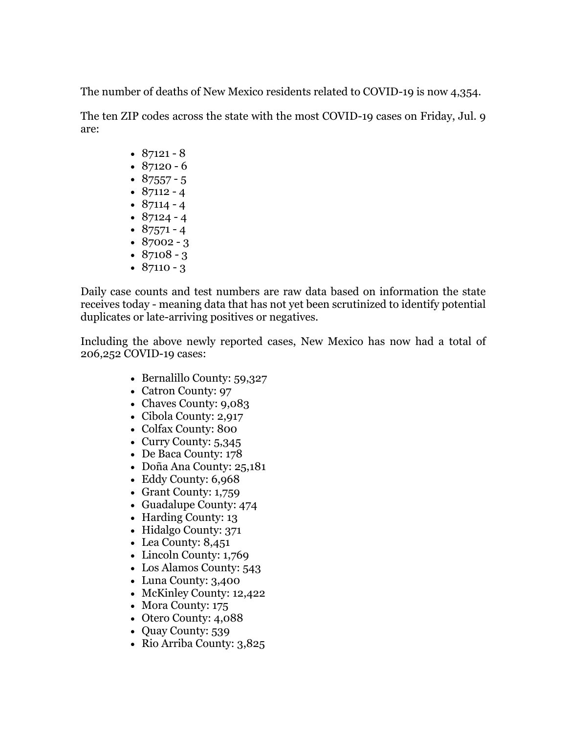The number of deaths of New Mexico residents related to COVID-19 is now 4,354.

The ten ZIP codes across the state with the most COVID-19 cases on Friday, Jul. 9 are:

- $87121 8$
- $87120 6$
- $87557 5$
- $87112 4$ •  $87114 - 4$
- $87124 4$
- $87571 4$
- $87002 3$
- $87108 3$
- $87110 3$

Daily case counts and test numbers are raw data based on information the state receives today - meaning data that has not yet been scrutinized to identify potential duplicates or late-arriving positives or negatives.

Including the above newly reported cases, New Mexico has now had a total of 206,252 COVID-19 cases:

- Bernalillo County: 59,327
- Catron County: 97
- Chaves County: 9,083
- Cibola County: 2,917
- Colfax County: 800
- Curry County: 5,345
- De Baca County: 178
- Doña Ana County: 25,181
- Eddy County: 6,968
- Grant County: 1,759
- Guadalupe County: 474
- Harding County: 13
- Hidalgo County: 371
- Lea County: 8,451
- Lincoln County: 1,769
- Los Alamos County: 543
- Luna County: 3,400
- McKinley County: 12,422
- Mora County: 175
- Otero County: 4,088
- Quay County: 539
- Rio Arriba County: 3,825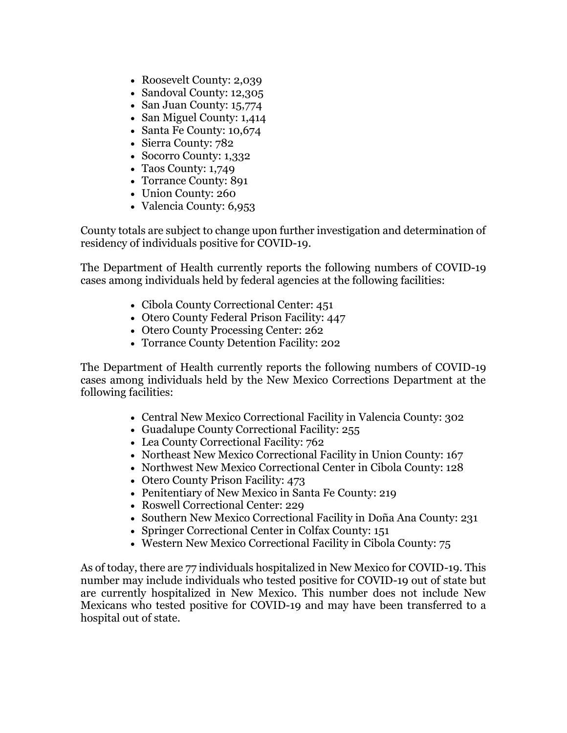- Roosevelt County: 2,039
- Sandoval County: 12,305
- San Juan County: 15,774
- San Miguel County: 1,414
- Santa Fe County: 10,674
- Sierra County: 782
- Socorro County: 1,332
- Taos County: 1,749
- Torrance County: 891
- Union County: 260
- Valencia County: 6,953

County totals are subject to change upon further investigation and determination of residency of individuals positive for COVID-19.

The Department of Health currently reports the following numbers of COVID-19 cases among individuals held by federal agencies at the following facilities:

- Cibola County Correctional Center: 451
- Otero County Federal Prison Facility: 447
- Otero County Processing Center: 262
- Torrance County Detention Facility: 202

The Department of Health currently reports the following numbers of COVID-19 cases among individuals held by the New Mexico Corrections Department at the following facilities:

- Central New Mexico Correctional Facility in Valencia County: 302
- Guadalupe County Correctional Facility: 255
- Lea County Correctional Facility: 762
- Northeast New Mexico Correctional Facility in Union County: 167
- Northwest New Mexico Correctional Center in Cibola County: 128
- Otero County Prison Facility: 473
- Penitentiary of New Mexico in Santa Fe County: 219
- Roswell Correctional Center: 229
- Southern New Mexico Correctional Facility in Doña Ana County: 231
- Springer Correctional Center in Colfax County: 151
- Western New Mexico Correctional Facility in Cibola County: 75

As of today, there are 77 individuals hospitalized in New Mexico for COVID-19. This number may include individuals who tested positive for COVID-19 out of state but are currently hospitalized in New Mexico. This number does not include New Mexicans who tested positive for COVID-19 and may have been transferred to a hospital out of state.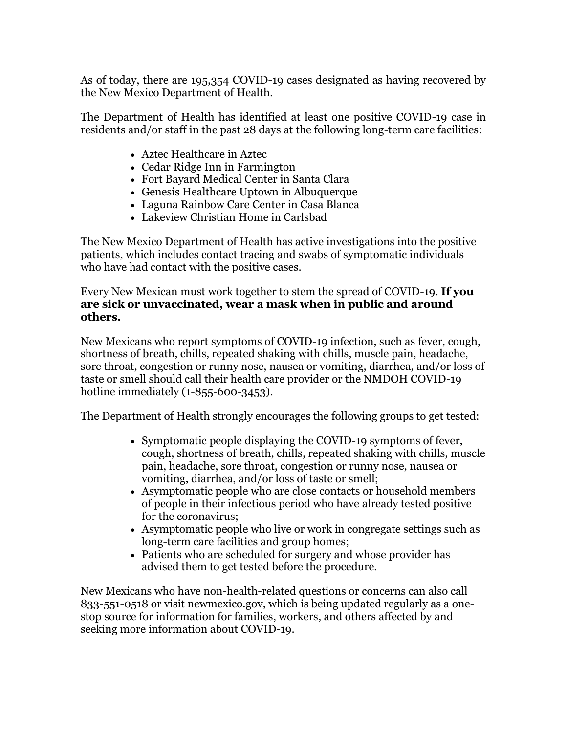As of today, there are 195,354 COVID-19 cases designated as having recovered by the New Mexico Department of Health.

The Department of Health has identified at least one positive COVID-19 case in residents and/or staff in the past 28 days at the following long-term care facilities:

- Aztec Healthcare in Aztec
- Cedar Ridge Inn in Farmington
- Fort Bayard Medical Center in Santa Clara
- Genesis Healthcare Uptown in Albuquerque
- Laguna Rainbow Care Center in Casa Blanca
- Lakeview Christian Home in Carlsbad

The New Mexico Department of Health has active investigations into the positive patients, which includes contact tracing and swabs of symptomatic individuals who have had contact with the positive cases.

Every New Mexican must work together to stem the spread of COVID-19. **If you are sick or unvaccinated, wear a mask when in public and around others.**

New Mexicans who report symptoms of COVID-19 infection, such as fever, cough, shortness of breath, chills, repeated shaking with chills, muscle pain, headache, sore throat, congestion or runny nose, nausea or vomiting, diarrhea, and/or loss of taste or smell should call their health care provider or the NMDOH COVID-19 hotline immediately (1-855-600-3453).

The Department of Health strongly encourages the following groups to get tested:

- Symptomatic people displaying the COVID-19 symptoms of fever, cough, shortness of breath, chills, repeated shaking with chills, muscle pain, headache, sore throat, congestion or runny nose, nausea or vomiting, diarrhea, and/or loss of taste or smell;
- Asymptomatic people who are close contacts or household members of people in their infectious period who have already tested positive for the coronavirus;
- Asymptomatic people who live or work in congregate settings such as long-term care facilities and group homes;
- Patients who are scheduled for surgery and whose provider has advised them to get tested before the procedure.

New Mexicans who have non-health-related questions or concerns can also call 833-551-0518 or visit newmexico.gov, which is being updated regularly as a onestop source for information for families, workers, and others affected by and seeking more information about COVID-19.